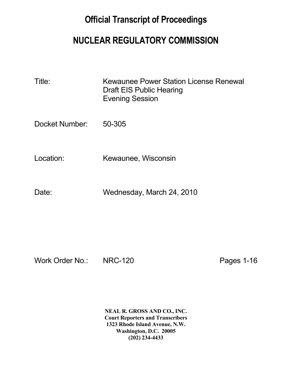## **Official Transcript of Proceedings**

## **NUCLEAR REGULATORY COMMISSION**

| Title: | Kewaunee Power Station License Renewal |
|--------|----------------------------------------|
|        | Draft EIS Public Hearing               |
|        | <b>Evening Session</b>                 |

Docket Number: 50-305

Location: Kewaunee, Wisconsin

Date: Wednesday, March 24, 2010

Work Order No.: NRC-120 Pages 1-16

 **NEAL R. GROSS AND CO., INC. Court Reporters and Transcribers 1323 Rhode Island Avenue, N.W. Washington, D.C. 20005 (202) 234-4433**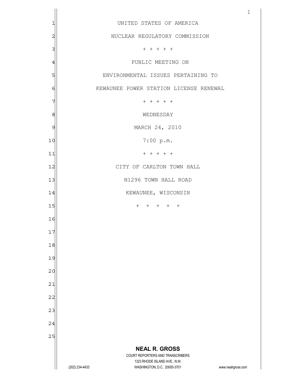|                         |                                                                                          | $\mathbf{1}$       |
|-------------------------|------------------------------------------------------------------------------------------|--------------------|
| 1                       | UNITED STATES OF AMERICA                                                                 |                    |
| $\overline{\mathbf{c}}$ | NUCLEAR REGULATORY COMMISSION                                                            |                    |
| 3                       | $+ + + + + +$                                                                            |                    |
| $\overline{4}$          | PUBLIC MEETING ON                                                                        |                    |
| 5                       | ENVIRONMENTAL ISSUES PERTAINING TO                                                       |                    |
| 6                       | KEWAUNEE POWER STATION LICENSE RENEWAL                                                   |                    |
| 7                       | $+ + + + + +$                                                                            |                    |
| 8                       | WEDNESDAY                                                                                |                    |
| 9                       | MARCH 24, 2010                                                                           |                    |
| 10                      | 7:00 p.m.                                                                                |                    |
| 11                      | $+ + + + + +$                                                                            |                    |
| 12                      | CITY OF CARLTON TOWN HALL                                                                |                    |
| 13                      | N1296 TOWN HALL ROAD                                                                     |                    |
| 14                      | KEWAUNEE, WISCONSIN                                                                      |                    |
| 15                      | $+ + + + + + +$                                                                          |                    |
| 16                      |                                                                                          |                    |
| 17                      |                                                                                          |                    |
| 18                      |                                                                                          |                    |
| 19                      |                                                                                          |                    |
| 20                      |                                                                                          |                    |
| 21                      |                                                                                          |                    |
| 22                      |                                                                                          |                    |
| 23                      |                                                                                          |                    |
| 24                      |                                                                                          |                    |
| 25                      |                                                                                          |                    |
|                         | <b>NEAL R. GROSS</b><br>COURT REPORTERS AND TRANSCRIBERS<br>1323 RHODE ISLAND AVE., N.W. |                    |
|                         | (202) 234-4433<br>WASHINGTON, D.C. 20005-3701                                            | www.nealrgross.com |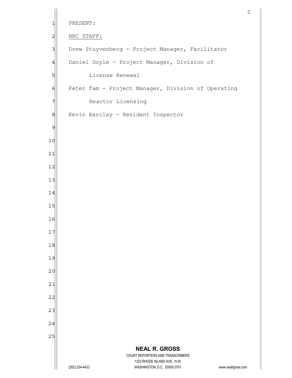```
 NEAL R. GROSS
                          COURT REPORTERS AND TRANSCRIBERS 
                             1323 RHODE ISLAND AVE., N.W. 
      (202) 234-4433 WASHINGTON, D.C. 20005-3701 www.nealrgross.com 
 1 PRESENT:
 2 NRC STAFF:
 3 Drew Stuyvenberg - Project Manager, Facilitator
 4 Daniel Doyle - Project Manager, Division of
 5 | License Renewal
 6 Peter Tam - Project Manager, Division of Operating
 7 Reactor Licensing
 8 | Kevin Barclay - Resident Inspector
 9 
10 
11 
12 
13 
14 
15 
16 
17 
18 
19 
20 
21 
22 
23 
24 
25
```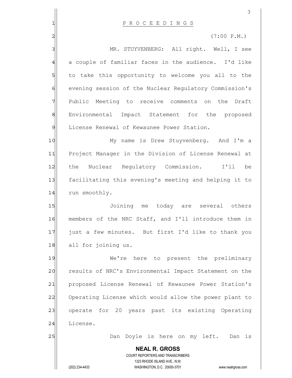|                | 3                                                                                                                                                                      |
|----------------|------------------------------------------------------------------------------------------------------------------------------------------------------------------------|
| 1              | P R O C E E D I N G S                                                                                                                                                  |
| $\overline{c}$ | $(7:00 \text{ P.M.})$                                                                                                                                                  |
| 3              | MR. STUYVENBERG: All right. Well, I see                                                                                                                                |
| $\frac{4}{3}$  | a couple of familiar faces in the audience. I'd like                                                                                                                   |
| 5              | to take this opportunity to welcome you all to the                                                                                                                     |
| $\epsilon$     | evening session of the Nuclear Regulatory Commission's                                                                                                                 |
| 7              | Public Meeting to receive comments on the Draft                                                                                                                        |
| 8              | Environmental Impact Statement for the proposed                                                                                                                        |
| $\mathfrak{S}$ | License Renewal of Kewaunee Power Station.                                                                                                                             |
| 10             | My name is Drew Stuyvenberg. And I'm a                                                                                                                                 |
| 11             | Project Manager in the Division of License Renewal at                                                                                                                  |
| 12             | Nuclear Regulatory Commission. I'll<br>the<br>be                                                                                                                       |
| 13             | facilitating this evening's meeting and helping it to                                                                                                                  |
| 14             | run smoothly.                                                                                                                                                          |
| 15             | Joining me<br>today are several others                                                                                                                                 |
| 16             | members of the NRC Staff, and I'll introduce them in                                                                                                                   |
| 17             | just a few minutes. But first I'd like to thank you                                                                                                                    |
| 18             | all for joining us.                                                                                                                                                    |
| 19             | We're here to present the preliminary                                                                                                                                  |
| 20             | results of NRC's Environmental Impact Statement on the                                                                                                                 |
| 21             | proposed License Renewal of Kewaunee Power Station's                                                                                                                   |
| 22             | Operating License which would allow the power plant to                                                                                                                 |
| 23             | operate for 20 years past its existing Operating                                                                                                                       |
| 24             | License.                                                                                                                                                               |
| 25             | Doyle is here on my left. Dan is<br>Dan                                                                                                                                |
|                | <b>NEAL R. GROSS</b><br><b>COURT REPORTERS AND TRANSCRIBERS</b><br>1323 RHODE ISLAND AVE., N.W.<br>WASHINGTON, D.C. 20005-3701<br>(202) 234-4433<br>www.nealrgross.com |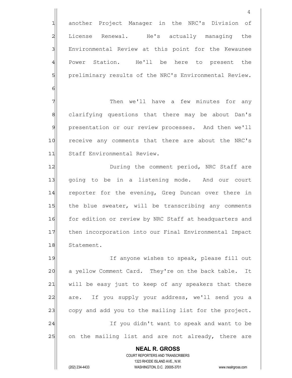**NEAL R. GROSS** COURT REPORTERS AND TRANSCRIBERS 1 another Project Manager in the NRC's Division of 2 License Renewal. He's actually managing the 3 Environmental Review at this point for the Kewaunee 4 Power Station. He'll be here to present the 5| preliminary results of the NRC's Environmental Review. 6 7 Then we'll have a few minutes for any 8 8 clarifying questions that there may be about Dan's 9 presentation or our review processes. And then we'll 10 receive any comments that there are about the NRC's 11 Staff Environmental Review. 12 During the comment period, NRC Staff are 13 | going to be in a listening mode. And our court 14 reporter for the evening, Greg Duncan over there in 15 the blue sweater, will be transcribing any comments 16 for edition or review by NRC Staff at headquarters and 17 | then incorporation into our Final Environmental Impact 18 Statement. 19 If anyone wishes to speak, please fill out 20 a yellow Comment Card. They're on the back table. It 21 | will be easy just to keep of any speakers that there 22 are. If you supply your address, we'll send you a 23 copy and add you to the mailing list for the project. 24 and leaves in the vou didn't want to speak and want to be 25 on the mailing list and are not already, there are

1323 RHODE ISLAND AVE., N.W.

(202) 234-4433 WASHINGTON, D.C. 20005-3701 www.nealrgross.com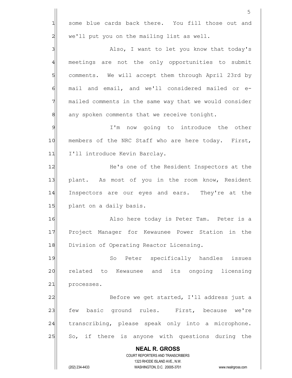**NEAL R. GROSS** COURT REPORTERS AND TRANSCRIBERS 1323 RHODE ISLAND AVE., N.W. (202) 234-4433 WASHINGTON, D.C. 20005-3701 www.nealrgross.com 5 1 some blue cards back there. You fill those out and  $2$  we'll put you on the mailing list as well. 3 | Also, I want to let you know that today's 4 meetings are not the only opportunities to submit 5 S| comments. We will accept them through April 23rd by 6 6 mail and email, and we'll considered mailed or e-7 mailed comments in the same way that we would consider 8 8 any spoken comments that we receive tonight. 9 | I'm now going to introduce the other 10 members of the NRC Staff who are here today. First, 11 I'll introduce Kevin Barclay. 12 He's one of the Resident Inspectors at the 13 plant. As most of you in the room know, Resident 14 Inspectors are our eyes and ears. They're at the 15 plant on a daily basis. 16 Also here today is Peter Tam. Peter is a 17 Project Manager for Kewaunee Power Station in the 18 Division of Operating Reactor Licensing. 19 So Peter specifically handles issues 20 related to Kewaunee and its ongoing licensing 21 processes. 22 Before we get started, I'll address just a 23 few basic ground rules. First, because we're 24 transcribing, please speak only into a microphone. 25 So, if there is anyone with questions during the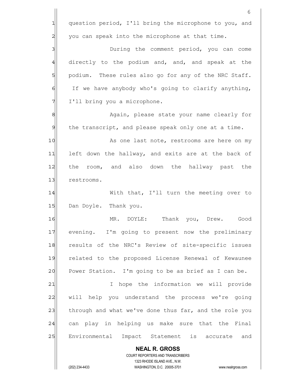|                | 6                                                                                                   |
|----------------|-----------------------------------------------------------------------------------------------------|
| 긔              | question period, I'll bring the microphone to you, and                                              |
| $\overline{c}$ | you can speak into the microphone at that time.                                                     |
| 3              | During the comment period, you can come                                                             |
| $\overline{4}$ | directly to the podium and, and, and speak at the                                                   |
| 5              | podium. These rules also go for any of the NRC Staff.                                               |
| 6              | If we have anybody who's going to clarify anything,                                                 |
| 7              | I'll bring you a microphone.                                                                        |
| $\,8\,$        | Again, please state your name clearly for                                                           |
| $\mathcal{Q}$  | the transcript, and please speak only one at a time.                                                |
| 10             | As one last note, restrooms are here on my                                                          |
| 11             | left down the hallway, and exits are at the back of                                                 |
| 12             | the room, and also down the hallway past the                                                        |
| 13             | restrooms.                                                                                          |
| 14             | With that, I'll turn the meeting over to                                                            |
| 15             | Dan Doyle. Thank you.                                                                               |
| 16             | MR. DOYLE:<br>Thank you, Drew.<br>Good                                                              |
| 17             | evening. I'm going to present now the preliminary                                                   |
| 18             | results of the NRC's Review of site-specific issues                                                 |
| 19             | related to the proposed License Renewal of Kewaunee                                                 |
| 20             | Power Station. I'm going to be as brief as I can be.                                                |
| 21             | hope the information we will provide<br>I.                                                          |
| 22             | will help you understand the process we're going                                                    |
| 23             | through and what we've done thus far, and the role you                                              |
| 24             | can play in helping us make sure that the Final                                                     |
| 25             | Environmental Impact Statement is accurate<br>and                                                   |
|                | <b>NEAL R. GROSS</b>                                                                                |
|                | COURT REPORTERS AND TRANSCRIBERS                                                                    |
|                | 1323 RHODE ISLAND AVE., N.W.<br>(202) 234-4433<br>WASHINGTON, D.C. 20005-3701<br>www.nealrgross.com |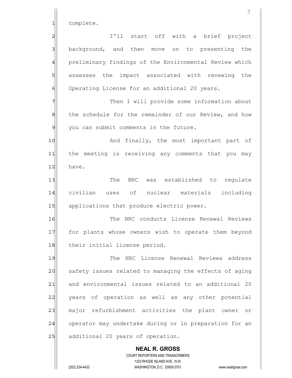1 complete.

 **NEAL R. GROSS** COURT REPORTERS AND TRANSCRIBERS 1323 RHODE ISLAND AVE., N.W. 2 | I'll start off with a brief project 3 3 background, and then move on to presenting the 4 preliminary findings of the Environmental Review which 5 5 5 assesses the impact associated with renewing the 6 Operating License for an additional 20 years. 7 Then I will provide some information about 8 the schedule for the remainder of our Review, and how  $9$  you can submit comments in the future. 10 And finally, the most important part of 11 the meeting is receiving any comments that you may 12 have. 13 The NRC was established to requlate 14 civilian uses of nuclear materials including 15 applications that produce electric power. 16 The NRC conducts License Renewal Reviews 17 for plants whose owners wish to operate them beyond 18 their initial license period. 19 The NRC License Renewal Reviews address 20 safety issues related to managing the effects of aging 21 and environmental issues related to an additional 20 22 vears of operation as well as any other potential 23 major refurbishment activities the plant owner or 24 operator may undertake during or in preparation for an 25 additional 20 years of operation.

(202) 234-4433 WASHINGTON, D.C. 20005-3701 www.nealrgross.com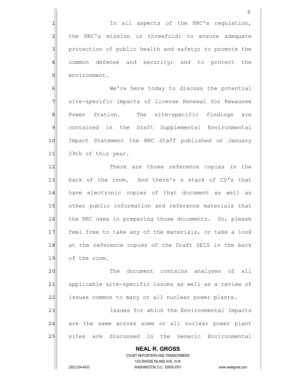8 1 1 In all aspects of the NRC's regulation, 2 the NRC's mission is threefold: to ensure adequate 3 3 protection of public health and safety; to promote the 4 common defense and security; and to protect the 5 **5** show the number of the sense of the sense of the sense of the sense of the sense to the sense to the sense to the sense to the sense to the sense to the sense to the sense to the sense to the sense to the sense to th 6 Me're here today to discuss the potential

7 Site-specific impacts of License Renewal for Kewaunee 8 Power Station. The site-specific findings are 9 contained in the Draft Supplemental Environmental 10 Impact Statement the NRC Staff published on January 11 29th of this year.

12 There are three reference copies in the 13 back of the room. And there's a stack of CD's that 14 have electronic copies of that document as well as 15 other public information and reference materials that 16 the NRC uses in preparing those documents. So, please 17 feel free to take any of the materials, or take a look 18 at the reference copies of the Draft SEIS in the back 19 of the room.

20 and 20 The document contains analyses of all 21 applicable site-specific issues as well as a review of 22 issues common to many or all nuclear power plants.

23 and Issues for which the Environmental Impacts 24 are the same across some or all nuclear power plant 25 | sites are discussed in the Generic Environmental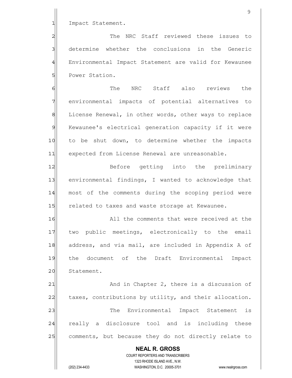1 Impact Statement.

2 2 The NRC Staff reviewed these issues to 3 determine whether the conclusions in the Generic 4 Environmental Impact Statement are valid for Kewaunee 5 | Power Station.

6 | The NRC Staff also reviews the 7 environmental impacts of potential alternatives to 8 Bill License Renewal, in other words, other ways to replace 9 Kewaunee's electrical generation capacity if it were 10 to be shut down, to determine whether the impacts 11 expected from License Renewal are unreasonable.

12 Before getting into the preliminary 13 environmental findings, I wanted to acknowledge that 14 most of the comments during the scoping period were 15 related to taxes and waste storage at Kewaunee.

16 all the comments that were received at the 17 two public meetings, electronically to the email 18 address, and via mail, are included in Appendix A of 19 the document of the Draft Environmental Impact 20 Statement.

21 and in Chapter 2, there is a discussion of 22 taxes, contributions by utility, and their allocation. 23 The Environmental Impact Statement is 24 really a disclosure tool and is including these 25 comments, but because they do not directly relate to

 **NEAL R. GROSS** COURT REPORTERS AND TRANSCRIBERS 1323 RHODE ISLAND AVE., N.W. (202) 234-4433 WASHINGTON, D.C. 20005-3701 www.nealrgross.com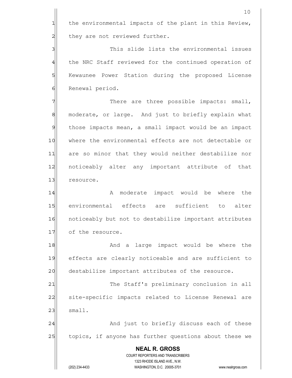**NEAL R. GROSS** COURT REPORTERS AND TRANSCRIBERS 1323 RHODE ISLAND AVE., N.W. 10 1 the environmental impacts of the plant in this Review, 2 all they are not reviewed further. 3 3 This slide lists the environmental issues 4 the NRC Staff reviewed for the continued operation of 5 | Kewaunee Power Station during the proposed License 6 Renewal period. 7 There are three possible impacts: small, 8 8 moderate, or large. And just to briefly explain what 9 those impacts mean, a small impact would be an impact 10 where the environmental effects are not detectable or 11 are so minor that they would neither destabilize nor 12 noticeably alter any important attribute of that 13 resource. 14 a moderate impact would be where the 15 environmental effects are sufficient to alter 16 noticeably but not to destabilize important attributes 17 of the resource. 18 and a large impact would be where the 19 effects are clearly noticeable and are sufficient to 20 destabilize important attributes of the resource. 21 The Staff's preliminary conclusion in all 22 | site-specific impacts related to License Renewal are  $23$   $small.$ 24 And just to briefly discuss each of these 25 topics, if anyone has further questions about these we

(202) 234-4433 WASHINGTON, D.C. 20005-3701 www.nealrgross.com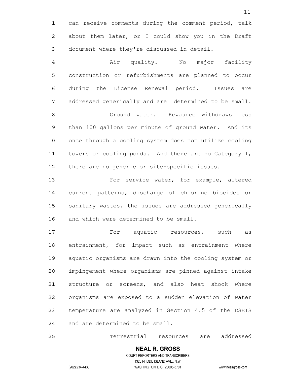1 can receive comments during the comment period, talk 2 about them later, or I could show you in the Draft 3 document where they're discussed in detail.

4 Air quality. No major facility 5 S construction or refurbishments are planned to occur 6 6 during the License Renewal period. Issues are 7 addressed generically and are determined to be small.

8 | Shound water. Kewaunee withdraws less 9 than 100 gallons per minute of ground water. And its 10 once through a cooling system does not utilize cooling 11 towers or cooling ponds. And there are no Category I, 12 there are no generic or site-specific issues.

13 **For service water, for example, altered** 14 current patterns, discharge of chlorine biocides or 15 | sanitary wastes, the issues are addressed generically 16 and which were determined to be small.

17 aguatic resources, such as 18 entrainment, for impact such as entrainment where 19 aquatic organisms are drawn into the cooling system or 20 impingement where organisms are pinned against intake 21 structure or screens, and also heat shock where 22 organisms are exposed to a sudden elevation of water 23 temperature are analyzed in Section 4.5 of the DSEIS  $24$  and are determined to be small.

25 Terrestrial resources are addressed

11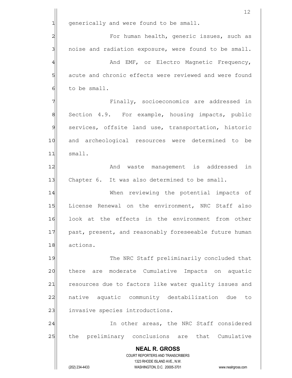|                | 12                                                                  |
|----------------|---------------------------------------------------------------------|
| 긔              | generically and were found to be small.                             |
| $\overline{c}$ | For human health, generic issues, such as                           |
| 3              | noise and radiation exposure, were found to be small.               |
| $\overline{4}$ | And EMF, or Electro Magnetic Frequency,                             |
| 5              | acute and chronic effects were reviewed and were found              |
| 6              | to be small.                                                        |
| 7              | Finally, socioeconomics are addressed in                            |
| 8              | Section 4.9. For example, housing impacts, public                   |
| $\mathfrak{S}$ | services, offsite land use, transportation, historic                |
| 10             | and archeological resources were determined to be                   |
| 11             | small.                                                              |
| 12             | And waste management is addressed in                                |
| 13             | Chapter 6. It was also determined to be small.                      |
| 14             | When reviewing the potential impacts of                             |
| 15             | License Renewal on the environment, NRC Staff also                  |
| 16             | look at the effects in the environment from other                   |
| 17             | past, present, and reasonably foreseeable future human              |
| 18             | actions.                                                            |
| 19             | The NRC Staff preliminarily concluded that                          |
| 20             | are moderate Cumulative Impacts on aquatic<br>there                 |
| 21             | resources due to factors like water quality issues and              |
| 22             | native aquatic community destabilization due to                     |
| 23             | invasive species introductions.                                     |
| 24             | In other areas, the NRC Staff considered                            |
| 25             | preliminary conclusions are that Cumulative<br>the                  |
|                | <b>NEAL R. GROSS</b>                                                |
|                | COURT REPORTERS AND TRANSCRIBERS<br>1323 RHODE ISLAND AVE., N.W.    |
|                | (202) 234-4433<br>WASHINGTON, D.C. 20005-3701<br>www.nealrgross.com |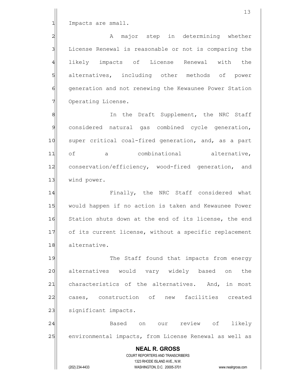1 Impacts are small.

2| a A major step in determining whether 3 License Renewal is reasonable or not is comparing the 4 likely impacts of License Renewal with the 5 5 5 5 5 sluit-ternatives, including other methods of power 6 6 6 Generation and not renewing the Kewaunee Power Station 7 Operating License.

8 8 In the Draft Supplement, the NRC Staff 9 considered natural gas combined cycle generation, 10 super critical coal-fired generation, and, as a part 11 of a combinational alternative, 12 conservation/efficiency, wood-fired generation, and 13 wind power.

14 Finally, the NRC Staff considered what 15 would happen if no action is taken and Kewaunee Power 16 Station shuts down at the end of its license, the end 17 of its current license, without a specific replacement 18 alternative.

19 The Staff found that impacts from energy 20 alternatives would vary widely based on the 21 characteristics of the alternatives. And, in most 22 cases, construction of new facilities created 23 | significant impacts.

24 | Based on our review of likely 25 environmental impacts, from License Renewal as well as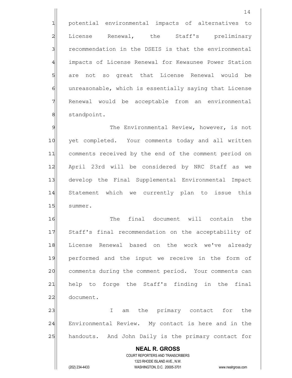1 potential environmental impacts of alternatives to 2 License Renewal, the Staff's preliminary 3 3 recommendation in the DSEIS is that the environmental 4 | impacts of License Renewal for Kewaunee Power Station 5 5 5 5 5 are not so great that License Renewal would be 6 6 6 unreasonable, which is essentially saying that License 7 Renewal would be acceptable from an environmental 8 standpoint.

9 The Environmental Review, however, is not 10 yet completed. Your comments today and all written 11 comments received by the end of the comment period on 12 April 23rd will be considered by NRC Staff as we 13 develop the Final Supplemental Environmental Impact 14 Statement which we currently plan to issue this 15 summer.

16 The final document will contain the 17 Staff's final recommendation on the acceptability of 18 License Renewal based on the work we've already 19 performed and the input we receive in the form of 20 comments during the comment period. Your comments can 21 help to forge the Staff's finding in the final 22 document.

23 am the primary contact for the 1 24 Environmental Review. My contact is here and in the 25 handouts. And John Daily is the primary contact for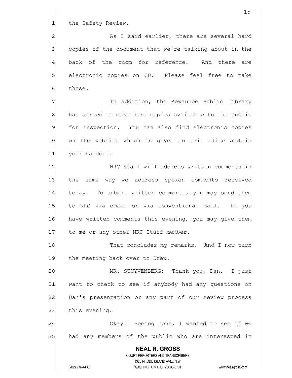|                | 15                                                                                                  |
|----------------|-----------------------------------------------------------------------------------------------------|
| 1              | the Safety Review.                                                                                  |
| $\overline{a}$ | As I said earlier, there are several hard                                                           |
| 3              | copies of the document that we're talking about in the                                              |
| 4              | back of the room for reference. And there<br>are                                                    |
| 5              | electronic copies on CD. Please feel free to take                                                   |
| $\epsilon$     | those.                                                                                              |
| 7              | In addition, the Kewaunee Public Library                                                            |
| $\,8\,$        | has agreed to make hard copies available to the public                                              |
| $\mathsf{S}$   | for inspection. You can also find electronic copies                                                 |
| 10             | on the website which is given in this slide and in                                                  |
| 11             | your handout.                                                                                       |
| 12             | NRC Staff will address written comments in                                                          |
| 13             | the same way we address spoken comments received                                                    |
| 14             | today. To submit written comments, you may send them                                                |
| 15             | to NRC via email or via conventional mail. If you                                                   |
| 16             | have written comments this evening, you may give them                                               |
| 17             | to me or any other NRC Staff member.                                                                |
| 18             | That concludes my remarks. And I now turn                                                           |
| 19             | the meeting back over to Drew.                                                                      |
| 20             | MR. STUYVENBERG: Thank you, Dan. I just                                                             |
| 21             | want to check to see if anybody had any questions on                                                |
| 22             | Dan's presentation or any part of our review process                                                |
| 23             | this evening.                                                                                       |
| 24             | Okay. Seeing none, I wanted to see if we                                                            |
| 25             | had any members of the public who are interested in                                                 |
|                | <b>NEAL R. GROSS</b>                                                                                |
|                | COURT REPORTERS AND TRANSCRIBERS                                                                    |
|                | 1323 RHODE ISLAND AVE., N.W.<br>(202) 234-4433<br>WASHINGTON, D.C. 20005-3701<br>www.nealrgross.com |